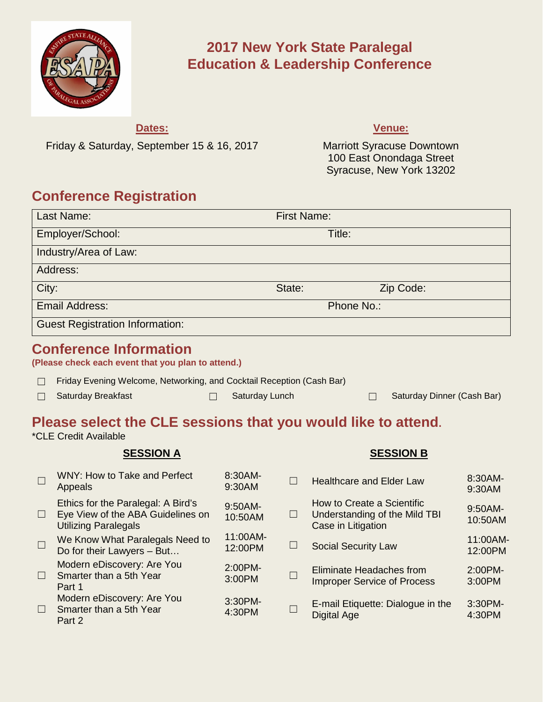

# **2017 New York State Paralegal Education & Leadership Conference**

# **Dates:**

Friday & Saturday, September 15 & 16, 2017

## **Venue:**

Marriott Syracuse Downtown 100 East Onondaga Street Syracuse, New York 13202

# **Conference Registration**

| Last Name:                                                                          | <b>First Name:</b> |            |  |  |
|-------------------------------------------------------------------------------------|--------------------|------------|--|--|
| Employer/School:                                                                    | Title:             |            |  |  |
| Industry/Area of Law:                                                               |                    |            |  |  |
| Address:                                                                            |                    |            |  |  |
| City:                                                                               | State:             | Zip Code:  |  |  |
| <b>Email Address:</b>                                                               |                    | Phone No.: |  |  |
| <b>Guest Registration Information:</b>                                              |                    |            |  |  |
| <b>Conference Information</b><br>(Please check each event that you plan to attend.) |                    |            |  |  |

- ☐ Friday Evening Welcome, Networking, and Cocktail Reception (Cash Bar)
- 

☐ Saturday Breakfast ☐ Saturday Lunch ☐ Saturday Dinner (Cash Bar)

# **Please select the CLE sessions that you would like to attend.**

\*CLE Credit Available

# **SESSION A SESSION B**

| $\Box$ | <b>WNY: How to Take and Perfect</b><br>Appeals                                                         | 8:30AM-<br>9:30AM   | П      | <b>Healthcare and Elder Law</b>                                                   | 8:30AM-<br>9:30AM     |
|--------|--------------------------------------------------------------------------------------------------------|---------------------|--------|-----------------------------------------------------------------------------------|-----------------------|
| $\Box$ | Ethics for the Paralegal: A Bird's<br>Eye View of the ABA Guidelines on<br><b>Utilizing Paralegals</b> | 9:50AM-<br>10:50AM  | $\Box$ | How to Create a Scientific<br>Understanding of the Mild TBI<br>Case in Litigation | $9:50AM -$<br>10:50AM |
| $\Box$ | We Know What Paralegals Need to<br>Do for their Lawyers - But                                          | 11:00AM-<br>12:00PM | L      | <b>Social Security Law</b>                                                        | 11:00AM-<br>12:00PM   |
| $\Box$ | Modern eDiscovery: Are You<br>Smarter than a 5th Year<br>Part 1                                        | 2:00PM-<br>3:00PM   |        | Eliminate Headaches from<br><b>Improper Service of Process</b>                    | 2:00PM-<br>3:00PM     |
| П.     | Modern eDiscovery: Are You<br>Smarter than a 5th Year<br>Part 2                                        | 3:30PM-<br>4:30PM   |        | E-mail Etiquette: Dialogue in the<br>Digital Age                                  | $3:30PM-$<br>4:30PM   |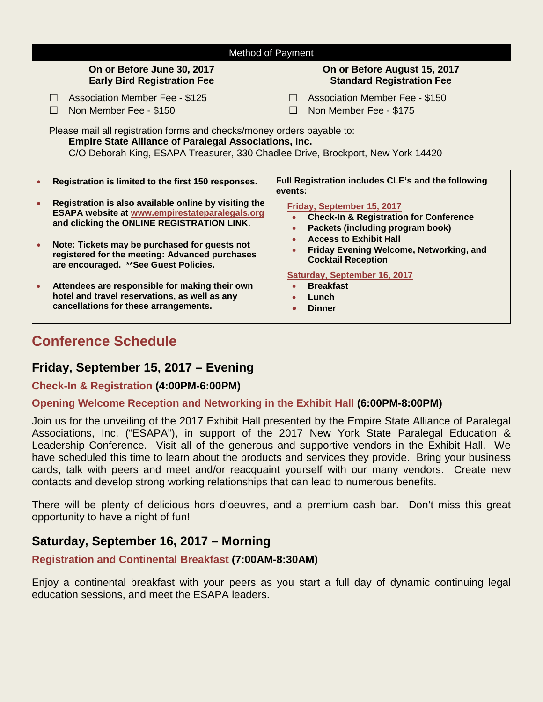| Method of Payment                                                                                                                                                                                                         |                                                                                                                                                              |                                                                                                                                  |  |  |  |  |
|---------------------------------------------------------------------------------------------------------------------------------------------------------------------------------------------------------------------------|--------------------------------------------------------------------------------------------------------------------------------------------------------------|----------------------------------------------------------------------------------------------------------------------------------|--|--|--|--|
| On or Before June 30, 2017<br><b>Early Bird Registration Fee</b>                                                                                                                                                          |                                                                                                                                                              | On or Before August 15, 2017<br><b>Standard Registration Fee</b>                                                                 |  |  |  |  |
|                                                                                                                                                                                                                           | <b>Association Member Fee - \$125</b><br>Non Member Fee - \$150                                                                                              | <b>Association Member Fee - \$150</b><br>$\Box$<br>Non Member Fee - \$175<br>$\Box$                                              |  |  |  |  |
| Please mail all registration forms and checks/money orders payable to:<br><b>Empire State Alliance of Paralegal Associations, Inc.</b><br>C/O Deborah King, ESAPA Treasurer, 330 Chadlee Drive, Brockport, New York 14420 |                                                                                                                                                              |                                                                                                                                  |  |  |  |  |
|                                                                                                                                                                                                                           | Registration is limited to the first 150 responses.                                                                                                          | Full Registration includes CLE's and the following<br>events:                                                                    |  |  |  |  |
|                                                                                                                                                                                                                           | Registration is also available online by visiting the<br><b>ESAPA website at www.empirestateparalegals.org</b><br>and clicking the ONLINE REGISTRATION LINK. | Friday, September 15, 2017<br><b>Check-In &amp; Registration for Conference</b><br>Packets (including program book)<br>$\bullet$ |  |  |  |  |
|                                                                                                                                                                                                                           | Note: Tickets may be purchased for guests not<br>registered for the meeting: Advanced purchases<br>are encouraged. ** See Guest Policies.                    | <b>Access to Exhibit Hall</b><br>Friday Evening Welcome, Networking, and<br><b>Cocktail Reception</b>                            |  |  |  |  |
|                                                                                                                                                                                                                           | Attendees are responsible for making their own<br>hotel and travel reservations, as well as any<br>cancellations for these arrangements.                     | Saturday, September 16, 2017<br><b>Breakfast</b><br>Lunch<br>$\bullet$<br><b>Dinner</b>                                          |  |  |  |  |

# **Conference Schedule**

# **Friday, September 15, 2017 – Evening**

# **Check-In & Registration (4:00PM-6:00PM)**

## **Opening Welcome Reception and Networking in the Exhibit Hall (6:00PM-8:00PM)**

Join us for the unveiling of the 2017 Exhibit Hall presented by the Empire State Alliance of Paralegal Associations, Inc. ("ESAPA"), in support of the 2017 New York State Paralegal Education & Leadership Conference. Visit all of the generous and supportive vendors in the Exhibit Hall. We have scheduled this time to learn about the products and services they provide. Bring your business cards, talk with peers and meet and/or reacquaint yourself with our many vendors. Create new contacts and develop strong working relationships that can lead to numerous benefits.

There will be plenty of delicious hors d'oeuvres, and a premium cash bar. Don't miss this great opportunity to have a night of fun!

# **Saturday, September 16, 2017 – Morning**

## **Registration and Continental Breakfast (7:00AM-8:30AM)**

Enjoy a continental breakfast with your peers as you start a full day of dynamic continuing legal education sessions, and meet the ESAPA leaders.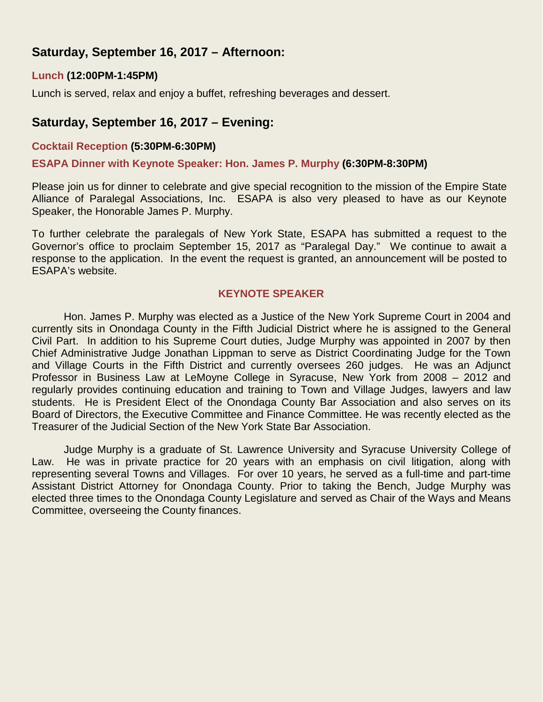# **Saturday, September 16, 2017 – Afternoon:**

# **Lunch (12:00PM-1:45PM)**

Lunch is served, relax and enjoy a buffet, refreshing beverages and dessert.

# **Saturday, September 16, 2017 – Evening:**

# **Cocktail Reception (5:30PM-6:30PM)**

### **ESAPA Dinner with Keynote Speaker: Hon. James P. Murphy (6:30PM-8:30PM)**

Please join us for dinner to celebrate and give special recognition to the mission of the Empire State Alliance of Paralegal Associations, Inc. ESAPA is also very pleased to have as our Keynote Speaker, the Honorable James P. Murphy.

To further celebrate the paralegals of New York State, ESAPA has submitted a request to the Governor's office to proclaim September 15, 2017 as "Paralegal Day." We continue to await a response to the application. In the event the request is granted, an announcement will be posted to ESAPA's website.

## **KEYNOTE SPEAKER**

Hon. James P. Murphy was elected as a Justice of the New York Supreme Court in 2004 and currently sits in Onondaga County in the Fifth Judicial District where he is assigned to the General Civil Part. In addition to his Supreme Court duties, Judge Murphy was appointed in 2007 by then Chief Administrative Judge Jonathan Lippman to serve as District Coordinating Judge for the Town and Village Courts in the Fifth District and currently oversees 260 judges. He was an Adjunct Professor in Business Law at LeMoyne College in Syracuse, New York from 2008 – 2012 and regularly provides continuing education and training to Town and Village Judges, lawyers and law students. He is President Elect of the Onondaga County Bar Association and also serves on its Board of Directors, the Executive Committee and Finance Committee. He was recently elected as the Treasurer of the Judicial Section of the New York State Bar Association.

Judge Murphy is a graduate of St. Lawrence University and Syracuse University College of Law. He was in private practice for 20 years with an emphasis on civil litigation, along with representing several Towns and Villages. For over 10 years, he served as a full-time and part-time Assistant District Attorney for Onondaga County. Prior to taking the Bench, Judge Murphy was elected three times to the Onondaga County Legislature and served as Chair of the Ways and Means Committee, overseeing the County finances.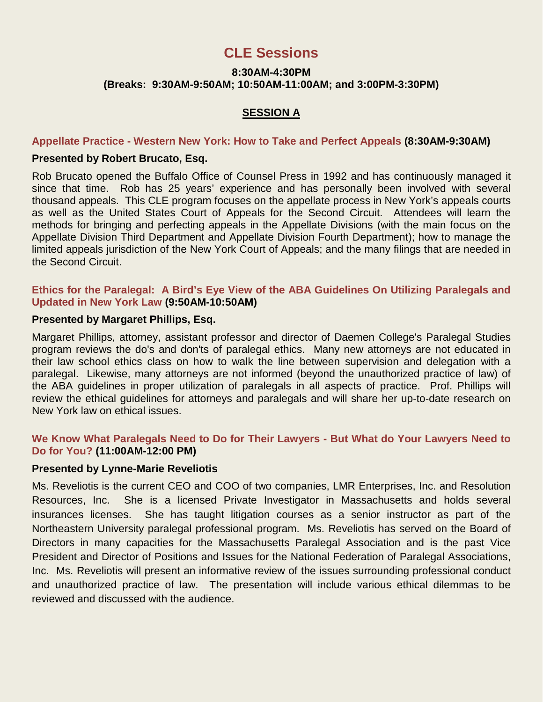# **CLE Sessions**

# **8:30AM-4:30PM (Breaks: 9:30AM-9:50AM; 10:50AM-11:00AM; and 3:00PM-3:30PM)**

# **SESSION A**

### **Appellate Practice - Western New York: How to Take and Perfect Appeals (8:30AM-9:30AM)**

#### **Presented by Robert Brucato, Esq.**

Rob Brucato opened the Buffalo Office of Counsel Press in 1992 and has continuously managed it since that time. Rob has 25 years' experience and has personally been involved with several thousand appeals. This CLE program focuses on the appellate process in New York's appeals courts as well as the United States Court of Appeals for the Second Circuit. Attendees will learn the methods for bringing and perfecting appeals in the Appellate Divisions (with the main focus on the Appellate Division Third Department and Appellate Division Fourth Department); how to manage the limited appeals jurisdiction of the New York Court of Appeals; and the many filings that are needed in the Second Circuit.

### **Ethics for the Paralegal: A Bird's Eye View of the ABA Guidelines On Utilizing Paralegals and Updated in New York Law (9:50AM-10:50AM)**

#### **Presented by Margaret Phillips, Esq.**

Margaret Phillips, attorney, assistant professor and director of Daemen College's Paralegal Studies program reviews the do's and don'ts of paralegal ethics. Many new attorneys are not educated in their law school ethics class on how to walk the line between supervision and delegation with a paralegal. Likewise, many attorneys are not informed (beyond the unauthorized practice of law) of the ABA guidelines in proper utilization of paralegals in all aspects of practice. Prof. Phillips will review the ethical guidelines for attorneys and paralegals and will share her up-to-date research on New York law on ethical issues.

# **We Know What Paralegals Need to Do for Their Lawyers - But What do Your Lawyers Need to Do for You? (11:00AM-12:00 PM)**

#### **Presented by Lynne-Marie Reveliotis**

Ms. Reveliotis is the current CEO and COO of two companies, LMR Enterprises, Inc. and Resolution Resources, Inc. She is a licensed Private Investigator in Massachusetts and holds several insurances licenses. She has taught litigation courses as a senior instructor as part of the Northeastern University paralegal professional program. Ms. Reveliotis has served on the Board of Directors in many capacities for the Massachusetts Paralegal Association and is the past Vice President and Director of Positions and Issues for the National Federation of Paralegal Associations, Inc. Ms. Reveliotis will present an informative review of the issues surrounding professional conduct and unauthorized practice of law. The presentation will include various ethical dilemmas to be reviewed and discussed with the audience.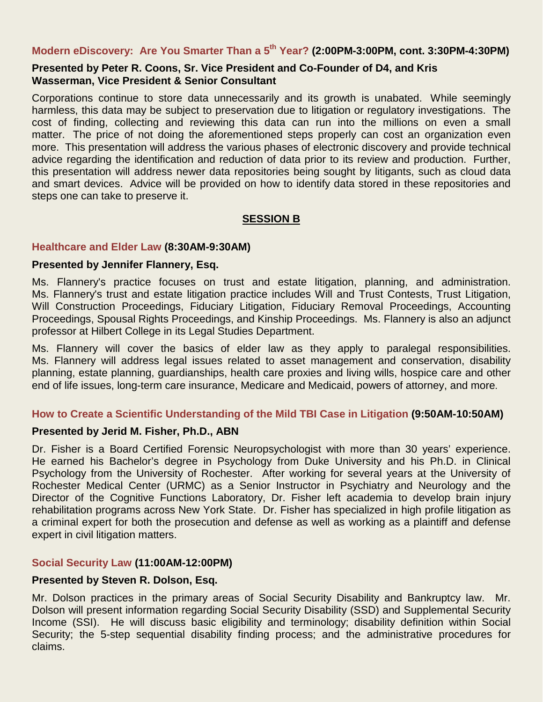# **Modern eDiscovery: Are You Smarter Than a 5th Year? (2:00PM-3:00PM, cont. 3:30PM-4:30PM)**

# **Presented by Peter R. Coons, Sr. Vice President and Co-Founder of D4, and Kris Wasserman, Vice President & Senior Consultant**

Corporations continue to store data unnecessarily and its growth is unabated. While seemingly harmless, this data may be subject to preservation due to litigation or regulatory investigations. The cost of finding, collecting and reviewing this data can run into the millions on even a small matter. The price of not doing the aforementioned steps properly can cost an organization even more. This presentation will address the various phases of electronic discovery and provide technical advice regarding the identification and reduction of data prior to its review and production. Further, this presentation will address newer data repositories being sought by litigants, such as cloud data and smart devices. Advice will be provided on how to identify data stored in these repositories and steps one can take to preserve it.

# **SESSION B**

#### **Healthcare and Elder Law (8:30AM-9:30AM)**

#### **Presented by Jennifer Flannery, Esq.**

Ms. Flannery's practice focuses on trust and estate litigation, planning, and administration. Ms. Flannery's trust and estate litigation practice includes Will and Trust Contests, Trust Litigation, Will Construction Proceedings, Fiduciary Litigation, Fiduciary Removal Proceedings, Accounting Proceedings, Spousal Rights Proceedings, and Kinship Proceedings. Ms. Flannery is also an adjunct professor at Hilbert College in its Legal Studies Department.

Ms. Flannery will cover the basics of elder law as they apply to paralegal responsibilities. Ms. Flannery will address legal issues related to asset management and conservation, disability planning, estate planning, guardianships, health care proxies and living wills, hospice care and other end of life issues, long-term care insurance, Medicare and Medicaid, powers of attorney, and more.

## **How to Create a Scientific Understanding of the Mild TBI Case in Litigation (9:50AM-10:50AM)**

## **Presented by Jerid M. Fisher, Ph.D., ABN**

Dr. Fisher is a Board Certified Forensic Neuropsychologist with more than 30 years' experience. He earned his Bachelor's degree in Psychology from Duke University and his Ph.D. in Clinical Psychology from the University of Rochester. After working for several years at the University of Rochester Medical Center (URMC) as a Senior Instructor in Psychiatry and Neurology and the Director of the Cognitive Functions Laboratory, Dr. Fisher left academia to develop brain injury rehabilitation programs across New York State. Dr. Fisher has specialized in high profile litigation as a criminal expert for both the prosecution and defense as well as working as a plaintiff and defense expert in civil litigation matters.

## **Social Security Law (11:00AM-12:00PM)**

## **Presented by Steven R. Dolson, Esq.**

Mr. Dolson practices in the primary areas of Social Security Disability and Bankruptcy law. Mr. Dolson will present information regarding Social Security Disability (SSD) and Supplemental Security Income (SSI). He will discuss basic eligibility and terminology; disability definition within Social Security; the 5-step sequential disability finding process; and the administrative procedures for claims.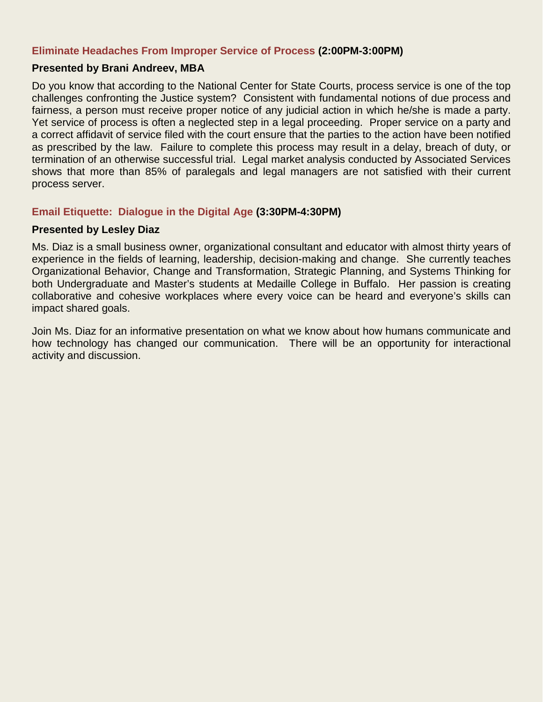# **Eliminate Headaches From Improper Service of Process (2:00PM-3:00PM)**

## **Presented by Brani Andreev, MBA**

Do you know that according to the National Center for State Courts, process service is one of the top challenges confronting the Justice system? Consistent with fundamental notions of due process and fairness, a person must receive proper notice of any judicial action in which he/she is made a party. Yet service of process is often a neglected step in a legal proceeding. Proper service on a party and a correct affidavit of service filed with the court ensure that the parties to the action have been notified as prescribed by the law. Failure to complete this process may result in a delay, breach of duty, or termination of an otherwise successful trial. Legal market analysis conducted by Associated Services shows that more than 85% of paralegals and legal managers are not satisfied with their current process server.

## **Email Etiquette: Dialogue in the Digital Age (3:30PM-4:30PM)**

#### **Presented by Lesley Diaz**

Ms. Diaz is a small business owner, organizational consultant and educator with almost thirty years of experience in the fields of learning, leadership, decision-making and change. She currently teaches Organizational Behavior, Change and Transformation, Strategic Planning, and Systems Thinking for both Undergraduate and Master's students at Medaille College in Buffalo. Her passion is creating collaborative and cohesive workplaces where every voice can be heard and everyone's skills can impact shared goals.

Join Ms. Diaz for an informative presentation on what we know about how humans communicate and how technology has changed our communication. There will be an opportunity for interactional activity and discussion.